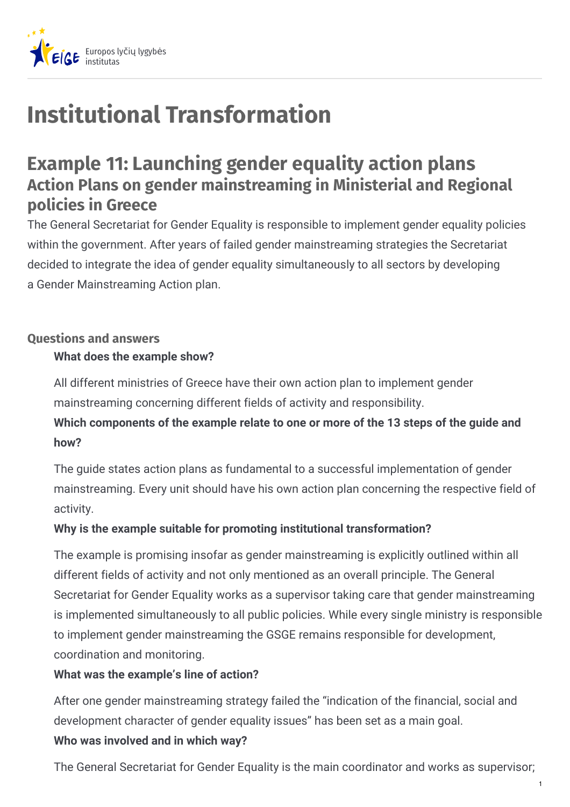

# **Institutional Transformation**

## **Example 11: Launching gender equality action plans Action Plans on gender mainstreaming in Ministerial and Regional policies in Greece**

The General Secretariat for Gender Equality is responsible to implement gender equality policies within the government. After years of failed gender mainstreaming strategies the Secretariat decided to integrate the idea of gender equality simultaneously to all sectors by developing a Gender Mainstreaming Action plan.

#### **Questions and answers**

### **What does the example show?**

All different ministries of Greece have their own action plan to implement gender mainstreaming concerning different fields of activity and responsibility.

**Which components of the example relate to one or more of the 13 steps of the guide and how?**

The guide states action plans as fundamental to a successful implementation of gender mainstreaming. Every unit should have his own action plan concerning the respective field of activity.

#### **Why is the example suitable for promoting institutional transformation?**

The example is promising insofar as gender mainstreaming is explicitly outlined within all different fields of activity and not only mentioned as an overall principle. The General Secretariat for Gender Equality works as a supervisor taking care that gender mainstreaming is implemented simultaneously to all public policies. While every single ministry is responsible to implement gender mainstreaming the GSGE remains responsible for development, coordination and monitoring.

#### **What was the example's line of action?**

After one gender mainstreaming strategy failed the "indication of the financial, social and development character of gender equality issues" has been set as a main goal. **Who was involved and in which way?**

The General Secretariat for Gender Equality is the main coordinator and works as supervisor;